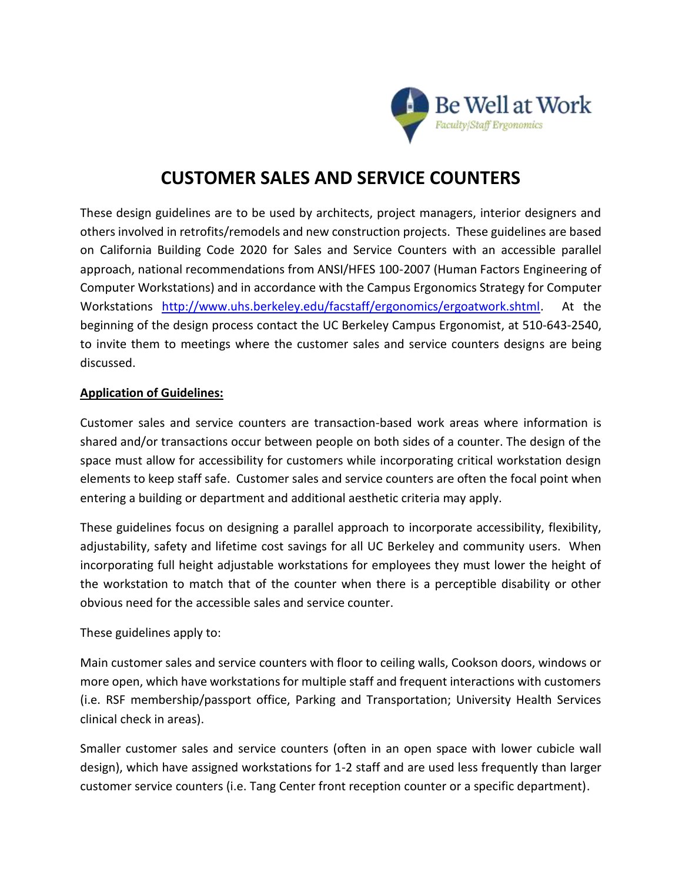

# **CUSTOMER SALES AND SERVICE COUNTERS**

These design guidelines are to be used by architects, project managers, interior designers and others involved in retrofits/remodels and new construction projects. These guidelines are based on California Building Code 2020 for Sales and Service Counters with an accessible parallel approach, national recommendations from ANSI/HFES 100-2007 (Human Factors Engineering of Computer Workstations) and in accordance with the Campus Ergonomics Strategy for Computer Workstations [http://www.uhs.berkeley.edu/facstaff/ergonomics/ergoatwork.shtml.](http://www.uhs.berkeley.edu/facstaff/ergonomics/ergoatwork.shtml) At the beginning of the design process contact the UC Berkeley Campus Ergonomist, at 510-643-2540, to invite them to meetings where the customer sales and service counters designs are being discussed.

#### **Application of Guidelines:**

Customer sales and service counters are transaction-based work areas where information is shared and/or transactions occur between people on both sides of a counter. The design of the space must allow for accessibility for customers while incorporating critical workstation design elements to keep staff safe. Customer sales and service counters are often the focal point when entering a building or department and additional aesthetic criteria may apply.

These guidelines focus on designing a parallel approach to incorporate accessibility, flexibility, adjustability, safety and lifetime cost savings for all UC Berkeley and community users. When incorporating full height adjustable workstations for employees they must lower the height of the workstation to match that of the counter when there is a perceptible disability or other obvious need for the accessible sales and service counter.

These guidelines apply to:

Main customer sales and service counters with floor to ceiling walls, Cookson doors, windows or more open, which have workstations for multiple staff and frequent interactions with customers (i.e. RSF membership/passport office, Parking and Transportation; University Health Services clinical check in areas).

Smaller customer sales and service counters (often in an open space with lower cubicle wall design), which have assigned workstations for 1-2 staff and are used less frequently than larger customer service counters (i.e. Tang Center front reception counter or a specific department).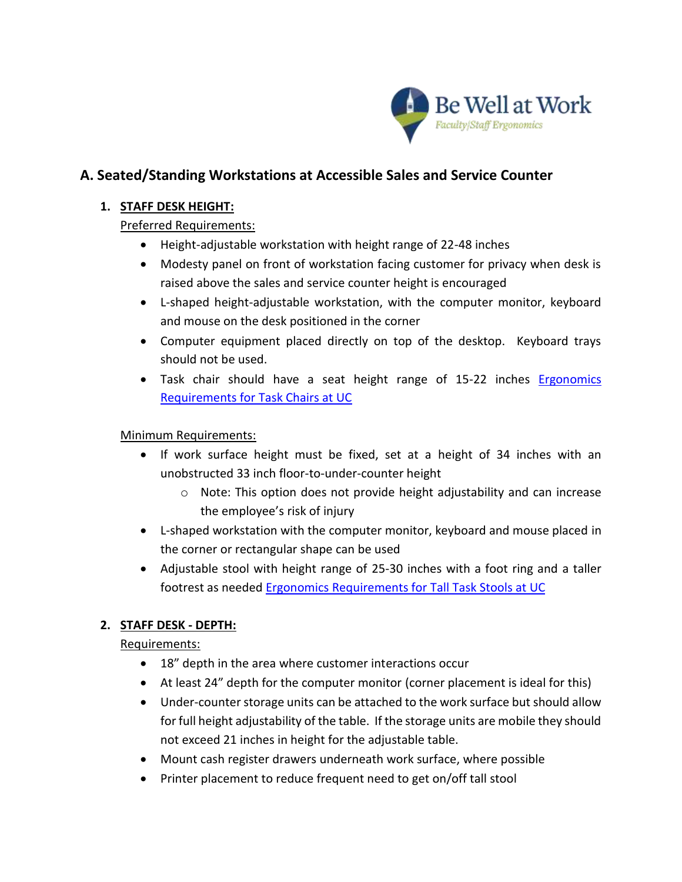

## **A. Seated/Standing Workstations at Accessible Sales and Service Counter**

## **1. STAFF DESK HEIGHT:**

## Preferred Requirements:

- Height-adjustable workstation with height range of 22-48 inches
- Modesty panel on front of workstation facing customer for privacy when desk is raised above the sales and service counter height is encouraged
- L-shaped height-adjustable workstation, with the computer monitor, keyboard and mouse on the desk positioned in the corner
- Computer equipment placed directly on top of the desktop. Keyboard trays should not be used.
- Task chair should have a seat height range of 15-22 inches **Ergonomics** [Requirements for Task Chairs at UC](https://uhs.berkeley.edu/sites/default/files/uc_task_chair_requirements_2.pdf)

## Minimum Requirements:

- If work surface height must be fixed, set at a height of 34 inches with an unobstructed 33 inch floor-to-under-counter height
	- o Note: This option does not provide height adjustability and can increase the employee's risk of injury
- L-shaped workstation with the computer monitor, keyboard and mouse placed in the corner or rectangular shape can be used
- Adjustable stool with height range of 25-30 inches with a foot ring and a taller footrest as needed [Ergonomics Requirements for Tall Task Stools at UC](https://uhs.berkeley.edu/sites/default/files/uc_ergonomics_requirements_tall_task_stools_2016.pdf)

## **2. STAFF DESK - DEPTH:**

### Requirements:

- 18" depth in the area where customer interactions occur
- At least 24" depth for the computer monitor (corner placement is ideal for this)
- Under-counter storage units can be attached to the work surface but should allow for full height adjustability of the table. If the storage units are mobile they should not exceed 21 inches in height for the adjustable table.
- Mount cash register drawers underneath work surface, where possible
- Printer placement to reduce frequent need to get on/off tall stool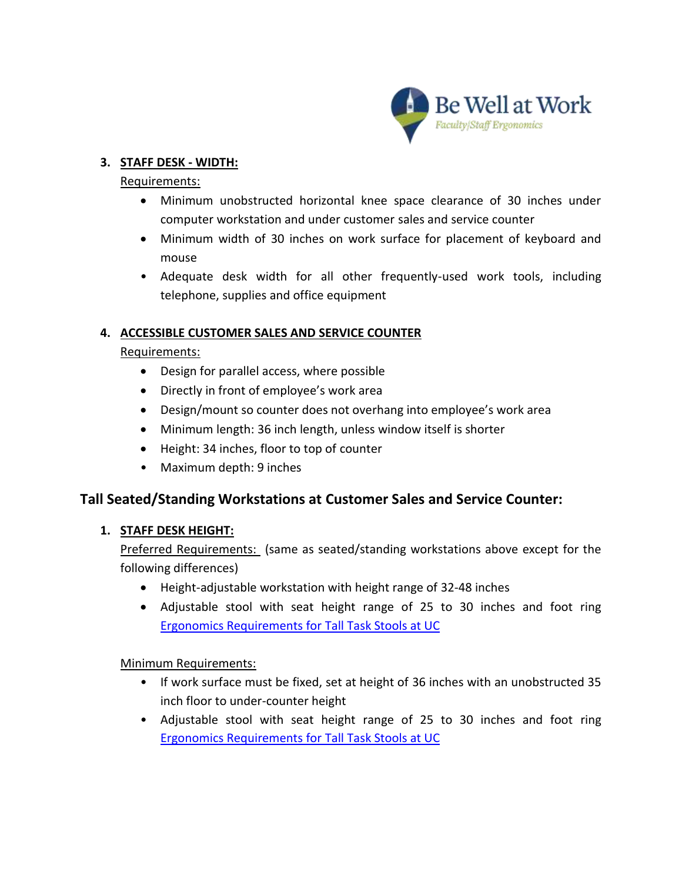

### **3. STAFF DESK - WIDTH:**

#### Requirements:

- Minimum unobstructed horizontal knee space clearance of 30 inches under computer workstation and under customer sales and service counter
- Minimum width of 30 inches on work surface for placement of keyboard and mouse
- Adequate desk width for all other frequently-used work tools, including telephone, supplies and office equipment

## **4. ACCESSIBLE CUSTOMER SALES AND SERVICE COUNTER**

### Requirements:

- Design for parallel access, where possible
- Directly in front of employee's work area
- Design/mount so counter does not overhang into employee's work area
- Minimum length: 36 inch length, unless window itself is shorter
- Height: 34 inches, floor to top of counter
- Maximum depth: 9 inches

## **Tall Seated/Standing Workstations at Customer Sales and Service Counter:**

### **1. STAFF DESK HEIGHT:**

Preferred Requirements: (same as seated/standing workstations above except for the following differences)

- Height-adjustable workstation with height range of 32-48 inches
- Adjustable stool with seat height range of 25 to 30 inches and foot ring [Ergonomics Requirements for Tall Task Stools at UC](https://uhs.berkeley.edu/sites/default/files/uc_ergonomics_requirements_tall_task_stools_2016.pdf)

### Minimum Requirements:

- If work surface must be fixed, set at height of 36 inches with an unobstructed 35 inch floor to under-counter height
- Adjustable stool with seat height range of 25 to 30 inches and foot ring [Ergonomics Requirements for Tall Task Stools at UC](https://uhs.berkeley.edu/sites/default/files/uc_ergonomics_requirements_tall_task_stools_2016.pdf)